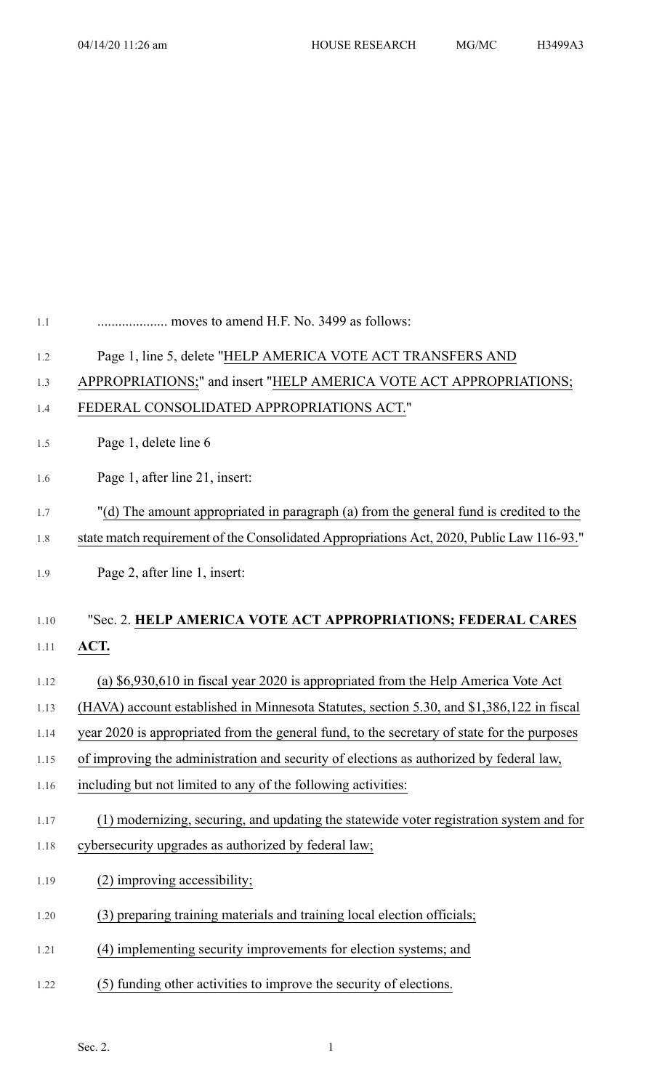| 1.1  | moves to amend H.F. No. 3499 as follows:                                                    |
|------|---------------------------------------------------------------------------------------------|
| 1.2  | Page 1, line 5, delete "HELP AMERICA VOTE ACT TRANSFERS AND                                 |
| 1.3  | APPROPRIATIONS;" and insert "HELP AMERICA VOTE ACT APPROPRIATIONS;                          |
| 1.4  | FEDERAL CONSOLIDATED APPROPRIATIONS ACT."                                                   |
| 1.5  | Page 1, delete line 6                                                                       |
| 1.6  | Page 1, after line 21, insert:                                                              |
| 1.7  | "(d) The amount appropriated in paragraph (a) from the general fund is credited to the      |
| 1.8  | state match requirement of the Consolidated Appropriations Act, 2020, Public Law 116-93."   |
| 1.9  | Page 2, after line 1, insert:                                                               |
| 1.10 | "Sec. 2. HELP AMERICA VOTE ACT APPROPRIATIONS; FEDERAL CARES                                |
| 1.11 | ACT.                                                                                        |
| 1.12 | (a) \$6,930,610 in fiscal year 2020 is appropriated from the Help America Vote Act          |
| 1.13 | (HAVA) account established in Minnesota Statutes, section 5.30, and \$1,386,122 in fiscal   |
| 1.14 | year 2020 is appropriated from the general fund, to the secretary of state for the purposes |
| 1.15 | of improving the administration and security of elections as authorized by federal law,     |
| 1.16 | including but not limited to any of the following activities:                               |
| 1.17 | (1) modernizing, securing, and updating the statewide voter registration system and for     |
| 1.18 | cybersecurity upgrades as authorized by federal law;                                        |
| 1.19 | (2) improving accessibility;                                                                |
| 1.20 | (3) preparing training materials and training local election officials;                     |
| 1.21 | (4) implementing security improvements for election systems; and                            |
| 1.22 | (5) funding other activities to improve the security of elections.                          |